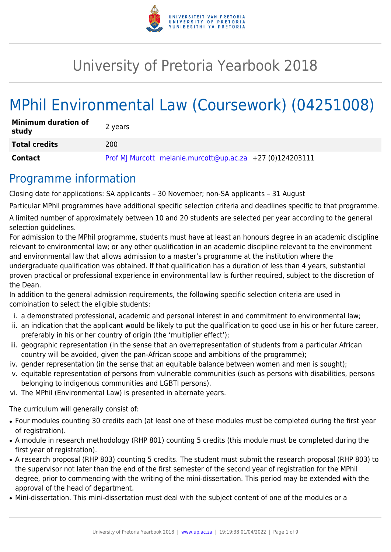

# University of Pretoria Yearbook 2018

# MPhil Environmental Law (Coursework) (04251008)

| <b>Minimum duration of</b><br>study | 2 years                                                   |
|-------------------------------------|-----------------------------------------------------------|
| <b>Total credits</b>                | 200                                                       |
| Contact                             | Prof MJ Murcott melanie.murcott@up.ac.za +27 (0)124203111 |

### Programme information

Closing date for applications: SA applicants – 30 November; non-SA applicants – 31 August

Particular MPhil programmes have additional specific selection criteria and deadlines specific to that programme.

A limited number of approximately between 10 and 20 students are selected per year according to the general selection guidelines.

For admission to the MPhil programme, students must have at least an honours degree in an academic discipline relevant to environmental law; or any other qualification in an academic discipline relevant to the environment and environmental law that allows admission to a master's programme at the institution where the undergraduate qualification was obtained. If that qualification has a duration of less than 4 years, substantial proven practical or professional experience in environmental law is further required, subject to the discretion of the Dean.

In addition to the general admission requirements, the following specific selection criteria are used in combination to select the eligible students:

- i. a demonstrated professional, academic and personal interest in and commitment to environmental law;
- ii. an indication that the applicant would be likely to put the qualification to good use in his or her future career, preferably in his or her country of origin (the 'multiplier effect');
- iii. geographic representation (in the sense that an overrepresentation of students from a particular African country will be avoided, given the pan-African scope and ambitions of the programme);
- iv. gender representation (in the sense that an equitable balance between women and men is sought);
- v. equitable representation of persons from vulnerable communities (such as persons with disabilities, persons belonging to indigenous communities and LGBTI persons).
- vi. The MPhil (Environmental Law) is presented in alternate years.

The curriculum will generally consist of:

- Four modules counting 30 credits each (at least one of these modules must be completed during the first year of registration).
- A module in research methodology (RHP 801) counting 5 credits (this module must be completed during the first year of registration).
- A research proposal (RHP 803) counting 5 credits. The student must submit the research proposal (RHP 803) to the supervisor not later than the end of the first semester of the second year of registration for the MPhil degree, prior to commencing with the writing of the mini-dissertation. This period may be extended with the approval of the head of department.
- Mini-dissertation. This mini-dissertation must deal with the subject content of one of the modules or a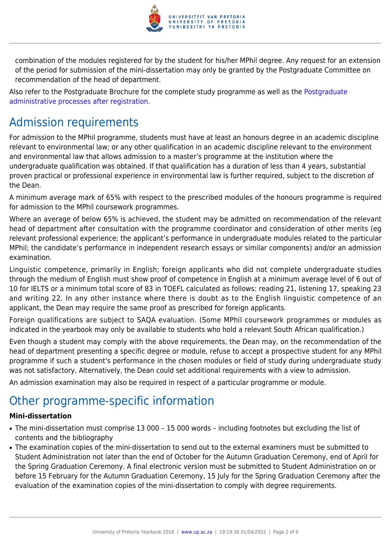

combination of the modules registered for by the student for his/her MPhil degree. Any request for an extension of the period for submission of the mini-dissertation may only be granted by the Postgraduate Committee on recommendation of the head of department.

Also refer to the Postgraduate Brochure for the complete study programme as well as the [Postgraduate](http://www.up.ac.za/media/shared/10/ZP_Files/post-graduate-administrative-processes-brochures-for-the-faculty-web.zp124870.pdf) [administrative processes after registration.](http://www.up.ac.za/media/shared/10/ZP_Files/post-graduate-administrative-processes-brochures-for-the-faculty-web.zp124870.pdf)

## Admission requirements

For admission to the MPhil programme, students must have at least an honours degree in an academic discipline relevant to environmental law; or any other qualification in an academic discipline relevant to the environment and environmental law that allows admission to a master's programme at the institution where the undergraduate qualification was obtained. If that qualification has a duration of less than 4 years, substantial proven practical or professional experience in environmental law is further required, subject to the discretion of the Dean.

A minimum average mark of 65% with respect to the prescribed modules of the honours programme is required for admission to the MPhil coursework programmes.

Where an average of below 65% is achieved, the student may be admitted on recommendation of the relevant head of department after consultation with the programme coordinator and consideration of other merits (eg relevant professional experience; the applicant's performance in undergraduate modules related to the particular MPhil; the candidate's performance in independent research essays or similar components) and/or an admission examination.

Linguistic competence, primarily in English; foreign applicants who did not complete undergraduate studies through the medium of English must show proof of competence in English at a minimum average level of 6 out of 10 for IELTS or a minimum total score of 83 in TOEFL calculated as follows: reading 21, listening 17, speaking 23 and writing 22. In any other instance where there is doubt as to the English linguistic competence of an applicant, the Dean may require the same proof as prescribed for foreign applicants.

Foreign qualifications are subject to SAQA evaluation. (Some MPhil coursework programmes or modules as indicated in the yearbook may only be available to students who hold a relevant South African qualification.)

Even though a student may comply with the above requirements, the Dean may, on the recommendation of the head of department presenting a specific degree or module, refuse to accept a prospective student for any MPhil programme if such a student's performance in the chosen modules or field of study during undergraduate study was not satisfactory. Alternatively, the Dean could set additional requirements with a view to admission.

An admission examination may also be required in respect of a particular programme or module.

## Other programme-specific information

#### **Mini-dissertation**

- The mini-dissertation must comprise 13 000 15 000 words including footnotes but excluding the list of contents and the bibliography
- The examination copies of the mini-dissertation to send out to the external examiners must be submitted to Student Administration not later than the end of October for the Autumn Graduation Ceremony, end of April for the Spring Graduation Ceremony. A final electronic version must be submitted to Student Administration on or before 15 February for the Autumn Graduation Ceremony, 15 July for the Spring Graduation Ceremony after the evaluation of the examination copies of the mini-dissertation to comply with degree requirements.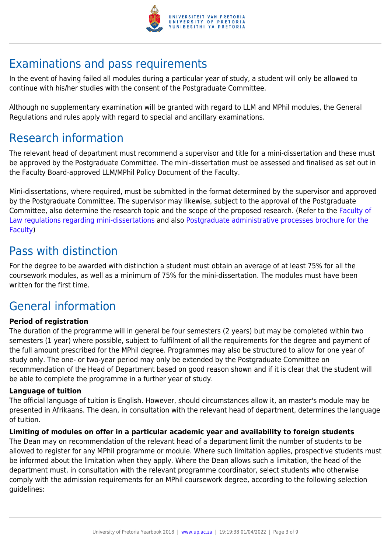

## Examinations and pass requirements

In the event of having failed all modules during a particular year of study, a student will only be allowed to continue with his/her studies with the consent of the Postgraduate Committee.

Although no supplementary examination will be granted with regard to LLM and MPhil modules, the General Regulations and rules apply with regard to special and ancillary examinations.

## Research information

The relevant head of department must recommend a supervisor and title for a mini-dissertation and these must be approved by the Postgraduate Committee. The mini-dissertation must be assessed and finalised as set out in the Faculty Board-approved LLM/MPhil Policy Document of the Faculty.

Mini-dissertations, where required, must be submitted in the format determined by the supervisor and approved by the Postgraduate Committee. The supervisor may likewise, subject to the approval of the Postgraduate Committee, also determine the research topic and the scope of the proposed research. (Refer to the [Faculty of](http://www.up.ac.za/media/shared/10/ZP_Files/faculty-regulations-for-the-mini-dissertation.zp124872.pdf) [Law regulations regarding mini-dissertations](http://www.up.ac.za/media/shared/10/ZP_Files/faculty-regulations-for-the-mini-dissertation.zp124872.pdf) and also [Postgraduate administrative processes brochure for the](http://www.up.ac.za/media/shared/10/ZP_Files/post-graduate-administrative-processes-brochures-for-the-faculty-web.zp124870.pdf) [Faculty](http://www.up.ac.za/media/shared/10/ZP_Files/post-graduate-administrative-processes-brochures-for-the-faculty-web.zp124870.pdf))

### Pass with distinction

For the degree to be awarded with distinction a student must obtain an average of at least 75% for all the coursework modules, as well as a minimum of 75% for the mini-dissertation. The modules must have been written for the first time.

## General information

#### **Period of registration**

The duration of the programme will in general be four semesters (2 years) but may be completed within two semesters (1 year) where possible, subject to fulfilment of all the requirements for the degree and payment of the full amount prescribed for the MPhil degree. Programmes may also be structured to allow for one year of study only. The one- or two-year period may only be extended by the Postgraduate Committee on recommendation of the Head of Department based on good reason shown and if it is clear that the student will be able to complete the programme in a further year of study.

#### **Language of tuition**

The official language of tuition is English. However, should circumstances allow it, an master's module may be presented in Afrikaans. The dean, in consultation with the relevant head of department, determines the language of tuition.

#### **Limiting of modules on offer in a particular academic year and availability to foreign students**

The Dean may on recommendation of the relevant head of a department limit the number of students to be allowed to register for any MPhil programme or module. Where such limitation applies, prospective students must be informed about the limitation when they apply. Where the Dean allows such a limitation, the head of the department must, in consultation with the relevant programme coordinator, select students who otherwise comply with the admission requirements for an MPhil coursework degree, according to the following selection guidelines: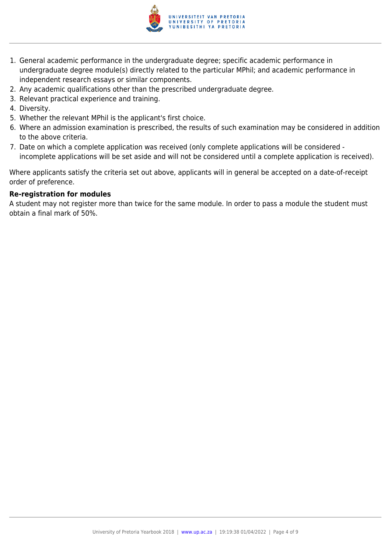

- 1. General academic performance in the undergraduate degree; specific academic performance in undergraduate degree module(s) directly related to the particular MPhil; and academic performance in independent research essays or similar components.
- 2. Any academic qualifications other than the prescribed undergraduate degree.
- 3. Relevant practical experience and training.
- 4. Diversity.
- 5. Whether the relevant MPhil is the applicant's first choice.
- 6. Where an admission examination is prescribed, the results of such examination may be considered in addition to the above criteria.
- 7. Date on which a complete application was received (only complete applications will be considered incomplete applications will be set aside and will not be considered until a complete application is received).

Where applicants satisfy the criteria set out above, applicants will in general be accepted on a date-of-receipt order of preference.

#### **Re-registration for modules**

A student may not register more than twice for the same module. In order to pass a module the student must obtain a final mark of 50%.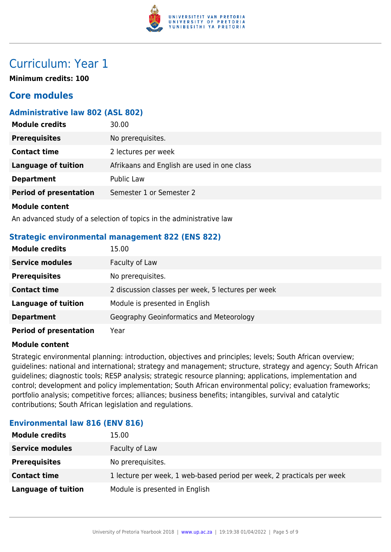

### Curriculum: Year 1

**Minimum credits: 100**

### **Core modules**

#### **Administrative law 802 (ASL 802)**

| <b>Module credits</b>         | 30.00                                       |
|-------------------------------|---------------------------------------------|
| <b>Prerequisites</b>          | No prerequisites.                           |
| <b>Contact time</b>           | 2 lectures per week                         |
| <b>Language of tuition</b>    | Afrikaans and English are used in one class |
| <b>Department</b>             | Public Law                                  |
| <b>Period of presentation</b> | Semester 1 or Semester 2                    |
| <b>Module content</b>         |                                             |

An advanced study of a selection of topics in the administrative law

#### **Strategic environmental management 822 (ENS 822)**

| <b>Module credits</b>         | 15.00                                              |
|-------------------------------|----------------------------------------------------|
| <b>Service modules</b>        | Faculty of Law                                     |
| <b>Prerequisites</b>          | No prerequisites.                                  |
| <b>Contact time</b>           | 2 discussion classes per week, 5 lectures per week |
| <b>Language of tuition</b>    | Module is presented in English                     |
| <b>Department</b>             | Geography Geoinformatics and Meteorology           |
| <b>Period of presentation</b> | Year                                               |

#### **Module content**

Strategic environmental planning: introduction, objectives and principles; levels; South African overview; guidelines: national and international; strategy and management; structure, strategy and agency; South African guidelines; diagnostic tools; RESP analysis; strategic resource planning; applications, implementation and control; development and policy implementation; South African environmental policy; evaluation frameworks; portfolio analysis; competitive forces; alliances; business benefits; intangibles, survival and catalytic contributions; South African legislation and regulations.

#### **Environmental law 816 (ENV 816)**

| <b>Module credits</b>      | 15.00                                                                  |
|----------------------------|------------------------------------------------------------------------|
| <b>Service modules</b>     | Faculty of Law                                                         |
| <b>Prerequisites</b>       | No prerequisites.                                                      |
| <b>Contact time</b>        | 1 lecture per week, 1 web-based period per week, 2 practicals per week |
| <b>Language of tuition</b> | Module is presented in English                                         |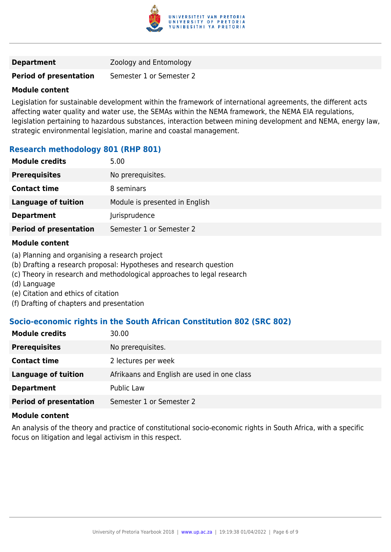

**Department Zoology and Entomology** 

#### **Period of presentation** Semester 1 or Semester 2

#### **Module content**

Legislation for sustainable development within the framework of international agreements, the different acts affecting water quality and water use, the SEMAs within the NEMA framework, the NEMA EIA regulations, legislation pertaining to hazardous substances, interaction between mining development and NEMA, energy law, strategic environmental legislation, marine and coastal management.

#### **Research methodology 801 (RHP 801)**

| <b>Module credits</b>         | 5.00                           |
|-------------------------------|--------------------------------|
| <b>Prerequisites</b>          | No prerequisites.              |
| <b>Contact time</b>           | 8 seminars                     |
| <b>Language of tuition</b>    | Module is presented in English |
| <b>Department</b>             | Jurisprudence                  |
| <b>Period of presentation</b> | Semester 1 or Semester 2       |
|                               |                                |

#### **Module content**

- (a) Planning and organising a research project
- (b) Drafting a research proposal: Hypotheses and research question
- (c) Theory in research and methodological approaches to legal research
- (d) Language
- (e) Citation and ethics of citation
- (f) Drafting of chapters and presentation

#### **Socio-economic rights in the South African Constitution 802 (SRC 802)**

| <b>Module credits</b>         | 30.00                                       |
|-------------------------------|---------------------------------------------|
| <b>Prerequisites</b>          | No prerequisites.                           |
| <b>Contact time</b>           | 2 lectures per week                         |
| <b>Language of tuition</b>    | Afrikaans and English are used in one class |
| <b>Department</b>             | Public Law                                  |
| <b>Period of presentation</b> | Semester 1 or Semester 2                    |

#### **Module content**

An analysis of the theory and practice of constitutional socio-economic rights in South Africa, with a specific focus on litigation and legal activism in this respect.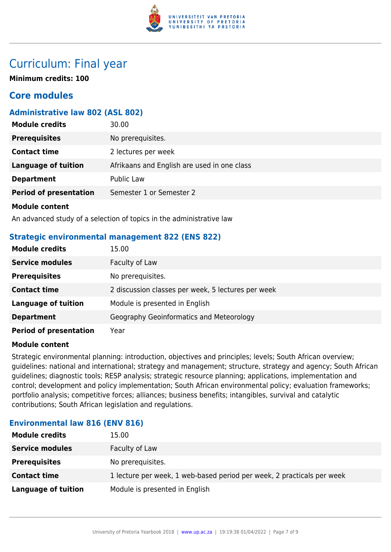

### Curriculum: Final year

**Minimum credits: 100**

### **Core modules**

#### **Administrative law 802 (ASL 802)**

| <b>Module credits</b>         | 30.00                                       |
|-------------------------------|---------------------------------------------|
| <b>Prerequisites</b>          | No prerequisites.                           |
| <b>Contact time</b>           | 2 lectures per week                         |
| Language of tuition           | Afrikaans and English are used in one class |
| <b>Department</b>             | Public Law                                  |
| <b>Period of presentation</b> | Semester 1 or Semester 2                    |
| <b>Module content</b>         |                                             |

An advanced study of a selection of topics in the administrative law

#### **Strategic environmental management 822 (ENS 822)**

| <b>Module credits</b>         | 15.00                                              |
|-------------------------------|----------------------------------------------------|
| <b>Service modules</b>        | Faculty of Law                                     |
| <b>Prerequisites</b>          | No prerequisites.                                  |
| <b>Contact time</b>           | 2 discussion classes per week, 5 lectures per week |
| <b>Language of tuition</b>    | Module is presented in English                     |
| <b>Department</b>             | Geography Geoinformatics and Meteorology           |
| <b>Period of presentation</b> | Year                                               |

#### **Module content**

Strategic environmental planning: introduction, objectives and principles; levels; South African overview; guidelines: national and international; strategy and management; structure, strategy and agency; South African guidelines; diagnostic tools; RESP analysis; strategic resource planning; applications, implementation and control; development and policy implementation; South African environmental policy; evaluation frameworks; portfolio analysis; competitive forces; alliances; business benefits; intangibles, survival and catalytic contributions; South African legislation and regulations.

#### **Environmental law 816 (ENV 816)**

| <b>Module credits</b>  | 15.00                                                                  |
|------------------------|------------------------------------------------------------------------|
| <b>Service modules</b> | Faculty of Law                                                         |
| <b>Prerequisites</b>   | No prerequisites.                                                      |
| <b>Contact time</b>    | 1 lecture per week, 1 web-based period per week, 2 practicals per week |
| Language of tuition    | Module is presented in English                                         |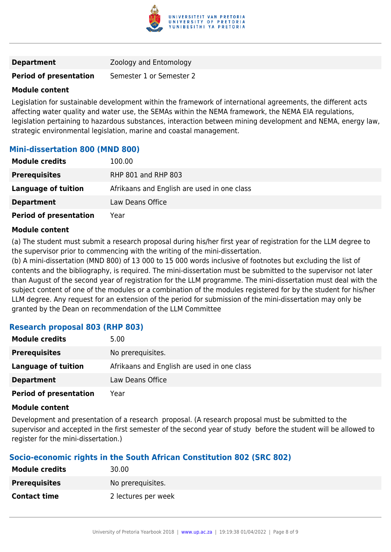

**Department Zoology and Entomology** 

#### **Period of presentation** Semester 1 or Semester 2

#### **Module content**

Legislation for sustainable development within the framework of international agreements, the different acts affecting water quality and water use, the SEMAs within the NEMA framework, the NEMA EIA regulations, legislation pertaining to hazardous substances, interaction between mining development and NEMA, energy law, strategic environmental legislation, marine and coastal management.

#### **Mini-dissertation 800 (MND 800)**

| <b>Module credits</b>         | 100.00                                      |
|-------------------------------|---------------------------------------------|
| <b>Prerequisites</b>          | RHP 801 and RHP 803                         |
| Language of tuition           | Afrikaans and English are used in one class |
| <b>Department</b>             | Law Deans Office                            |
| <b>Period of presentation</b> | Year                                        |

#### **Module content**

(a) The student must submit a research proposal during his/her first year of registration for the LLM degree to the supervisor prior to commencing with the writing of the mini-dissertation.

(b) A mini-dissertation (MND 800) of 13 000 to 15 000 words inclusive of footnotes but excluding the list of contents and the bibliography, is required. The mini-dissertation must be submitted to the supervisor not later than August of the second year of registration for the LLM programme. The mini-dissertation must deal with the subject content of one of the modules or a combination of the modules registered for by the student for his/her LLM degree. Any request for an extension of the period for submission of the mini-dissertation may only be granted by the Dean on recommendation of the LLM Committee

#### **Research proposal 803 (RHP 803)**

| <b>Module credits</b>         | 5.00                                        |
|-------------------------------|---------------------------------------------|
| <b>Prerequisites</b>          | No prerequisites.                           |
| <b>Language of tuition</b>    | Afrikaans and English are used in one class |
| <b>Department</b>             | Law Deans Office                            |
| <b>Period of presentation</b> | Year                                        |

#### **Module content**

Development and presentation of a research proposal. (A research proposal must be submitted to the supervisor and accepted in the first semester of the second year of study before the student will be allowed to register for the mini-dissertation.)

#### **Socio-economic rights in the South African Constitution 802 (SRC 802)**

| <b>Module credits</b> | 30.00               |
|-----------------------|---------------------|
| <b>Prerequisites</b>  | No prerequisites.   |
| <b>Contact time</b>   | 2 lectures per week |